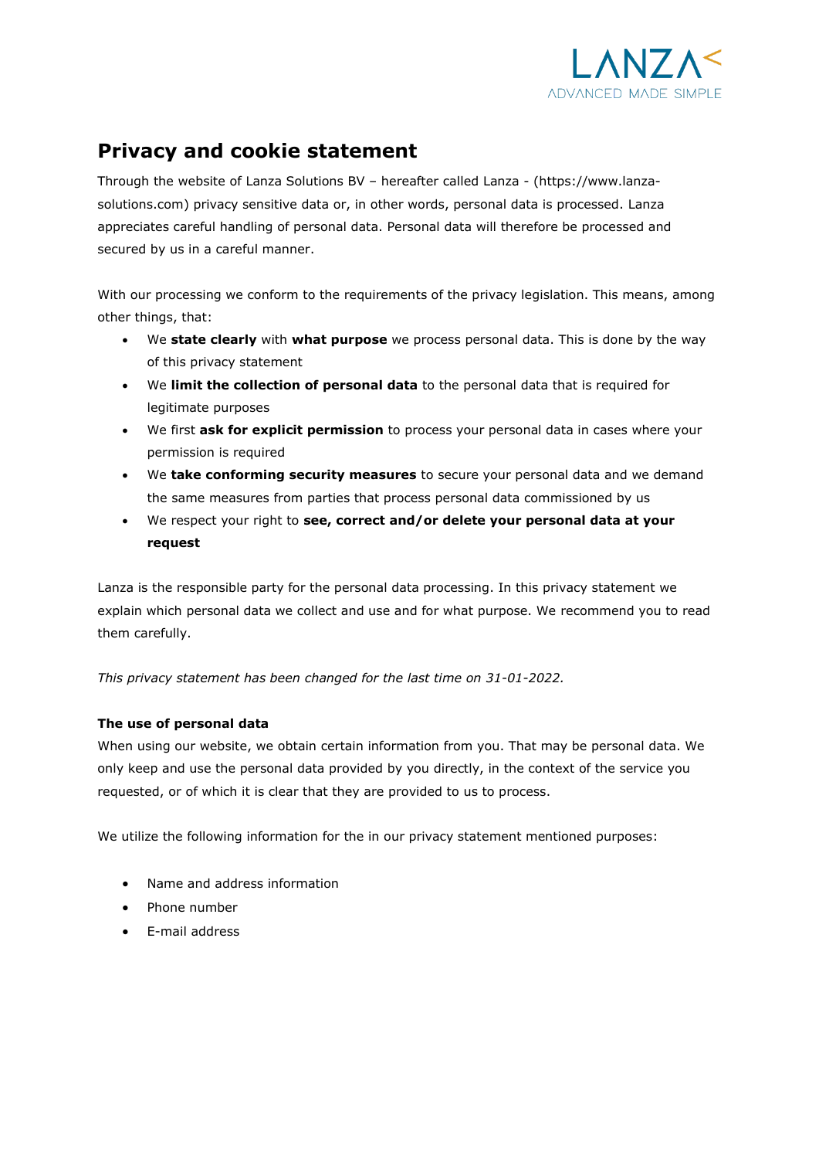

# **Privacy and cookie statement**

Through the website of Lanza Solutions BV – hereafter called Lanza - (https://www.lanzasolutions.com) privacy sensitive data or, in other words, personal data is processed. Lanza appreciates careful handling of personal data. Personal data will therefore be processed and secured by us in a careful manner.

With our processing we conform to the requirements of the privacy legislation. This means, among other things, that:

- We **state clearly** with **what purpose** we process personal data. This is done by the way of this privacy statement
- We **limit the collection of personal data** to the personal data that is required for legitimate purposes
- We first **ask for explicit permission** to process your personal data in cases where your permission is required
- We **take conforming security measures** to secure your personal data and we demand the same measures from parties that process personal data commissioned by us
- We respect your right to **see, correct and/or delete your personal data at your request**

Lanza is the responsible party for the personal data processing. In this privacy statement we explain which personal data we collect and use and for what purpose. We recommend you to read them carefully.

*This privacy statement has been changed for the last time on 31-01-2022.*

## **The use of personal data**

When using our website, we obtain certain information from you. That may be personal data. We only keep and use the personal data provided by you directly, in the context of the service you requested, or of which it is clear that they are provided to us to process.

We utilize the following information for the in our privacy statement mentioned purposes:

- Name and address information
- Phone number
- E-mail address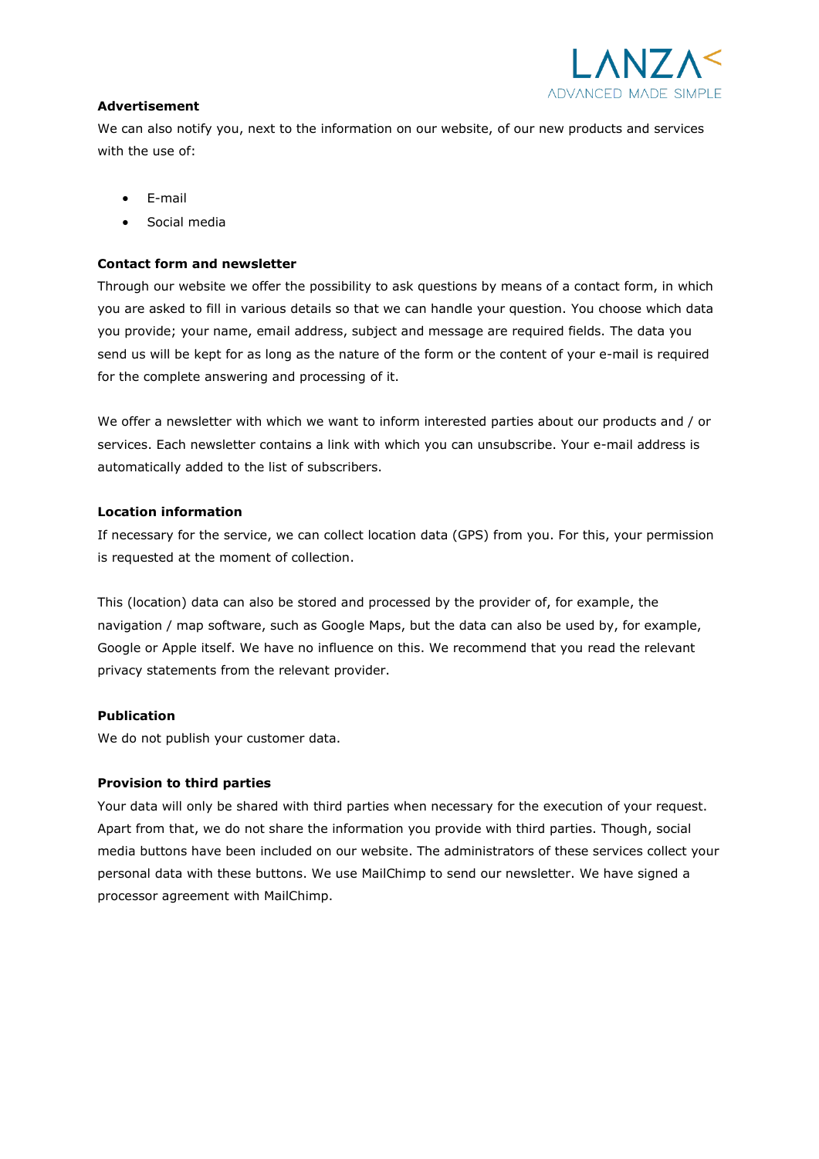

### **Advertisement**

We can also notify you, next to the information on our website, of our new products and services with the use of:

- E-mail
- Social media

## **Contact form and newsletter**

Through our website we offer the possibility to ask questions by means of a contact form, in which you are asked to fill in various details so that we can handle your question. You choose which data you provide; your name, email address, subject and message are required fields. The data you send us will be kept for as long as the nature of the form or the content of your e-mail is required for the complete answering and processing of it.

We offer a newsletter with which we want to inform interested parties about our products and / or services. Each newsletter contains a link with which you can unsubscribe. Your e-mail address is automatically added to the list of subscribers.

## **Location information**

If necessary for the service, we can collect location data (GPS) from you. For this, your permission is requested at the moment of collection.

This (location) data can also be stored and processed by the provider of, for example, the navigation / map software, such as Google Maps, but the data can also be used by, for example, Google or Apple itself. We have no influence on this. We recommend that you read the relevant privacy statements from the relevant provider.

## **Publication**

We do not publish your customer data.

## **Provision to third parties**

Your data will only be shared with third parties when necessary for the execution of your request. Apart from that, we do not share the information you provide with third parties. Though, social media buttons have been included on our website. The administrators of these services collect your personal data with these buttons. We use MailChimp to send our newsletter. We have signed a processor agreement with MailChimp.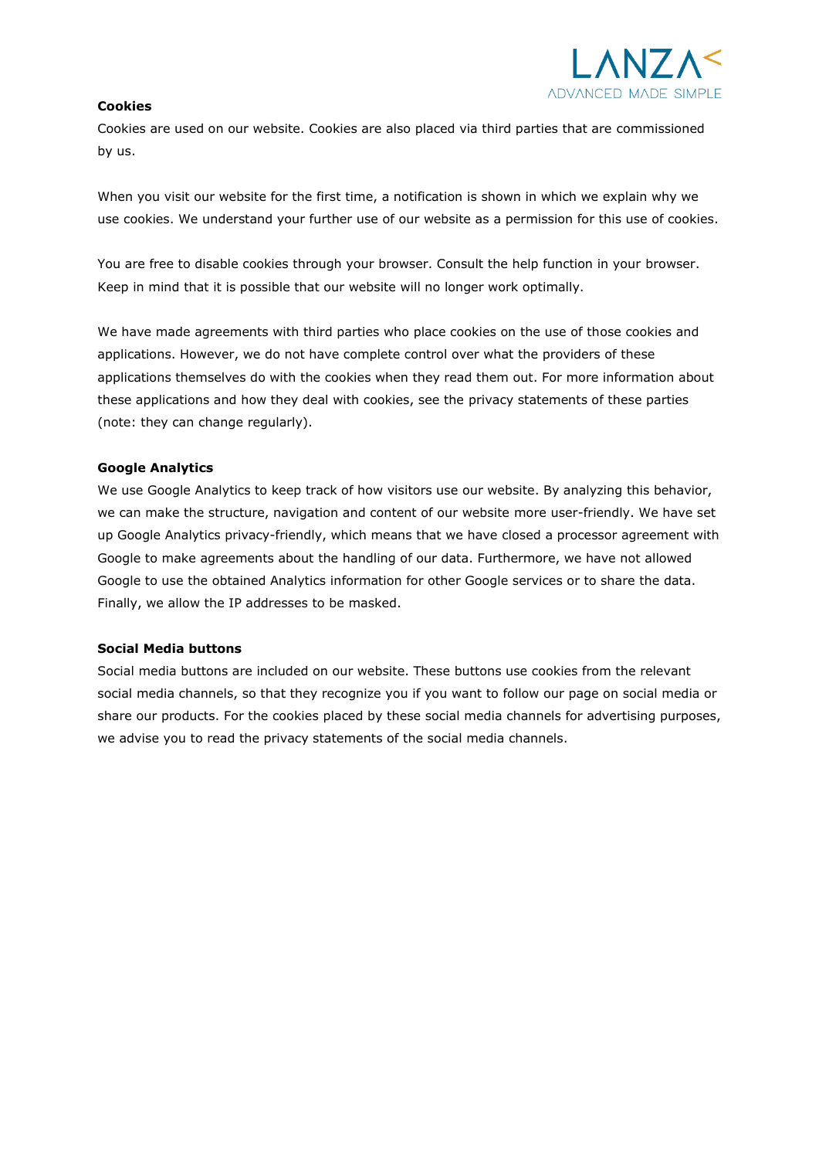

### **Cookies**

Cookies are used on our website. Cookies are also placed via third parties that are commissioned by us.

When you visit our website for the first time, a notification is shown in which we explain why we use cookies. We understand your further use of our website as a permission for this use of cookies.

You are free to disable cookies through your browser. Consult the help function in your browser. Keep in mind that it is possible that our website will no longer work optimally.

We have made agreements with third parties who place cookies on the use of those cookies and applications. However, we do not have complete control over what the providers of these applications themselves do with the cookies when they read them out. For more information about these applications and how they deal with cookies, see the privacy statements of these parties (note: they can change regularly).

#### **Google Analytics**

We use Google Analytics to keep track of how visitors use our website. By analyzing this behavior, we can make the structure, navigation and content of our website more user-friendly. We have set up Google Analytics privacy-friendly, which means that we have closed a processor agreement with Google to make agreements about the handling of our data. Furthermore, we have not allowed Google to use the obtained Analytics information for other Google services or to share the data. Finally, we allow the IP addresses to be masked.

#### **Social Media buttons**

Social media buttons are included on our website. These buttons use cookies from the relevant social media channels, so that they recognize you if you want to follow our page on social media or share our products. For the cookies placed by these social media channels for advertising purposes, we advise you to read the privacy statements of the social media channels.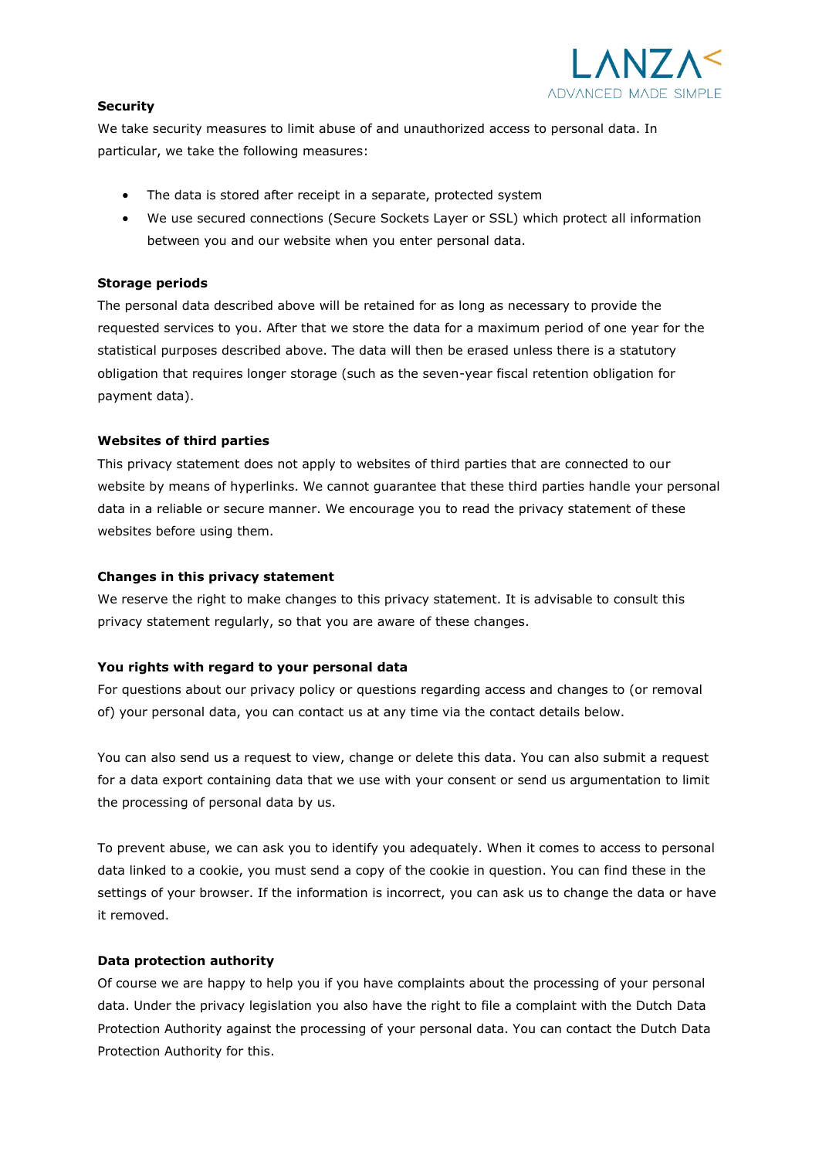

## **Security**

We take security measures to limit abuse of and unauthorized access to personal data. In particular, we take the following measures:

- The data is stored after receipt in a separate, protected system
- We use secured connections (Secure Sockets Layer or SSL) which protect all information between you and our website when you enter personal data.

## **Storage periods**

The personal data described above will be retained for as long as necessary to provide the requested services to you. After that we store the data for a maximum period of one year for the statistical purposes described above. The data will then be erased unless there is a statutory obligation that requires longer storage (such as the seven-year fiscal retention obligation for payment data).

## **Websites of third parties**

This privacy statement does not apply to websites of third parties that are connected to our website by means of hyperlinks. We cannot guarantee that these third parties handle your personal data in a reliable or secure manner. We encourage you to read the privacy statement of these websites before using them.

## **Changes in this privacy statement**

We reserve the right to make changes to this privacy statement. It is advisable to consult this privacy statement regularly, so that you are aware of these changes.

## **You rights with regard to your personal data**

For questions about our privacy policy or questions regarding access and changes to (or removal of) your personal data, you can contact us at any time via the contact details below.

You can also send us a request to view, change or delete this data. You can also submit a request for a data export containing data that we use with your consent or send us argumentation to limit the processing of personal data by us.

To prevent abuse, we can ask you to identify you adequately. When it comes to access to personal data linked to a cookie, you must send a copy of the cookie in question. You can find these in the settings of your browser. If the information is incorrect, you can ask us to change the data or have it removed.

## **Data protection authority**

Of course we are happy to help you if you have complaints about the processing of your personal data. Under the privacy legislation you also have the right to file a complaint with the Dutch Data Protection Authority against the processing of your personal data. You can contact the Dutch Data Protection Authority for this.